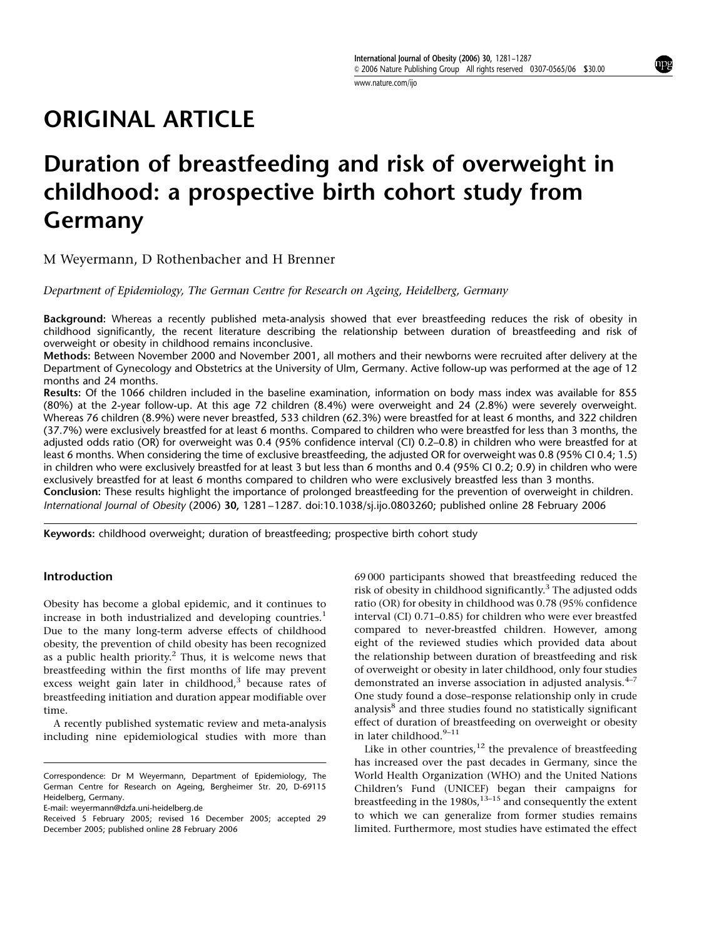www.nature.com/ijo

# ORIGINAL ARTICLE

# Duration of breastfeeding and risk of overweight in childhood: a prospective birth cohort study from Germany

M Weyermann, D Rothenbacher and H Brenner

Department of Epidemiology, The German Centre for Research on Ageing, Heidelberg, Germany

Background: Whereas a recently published meta-analysis showed that ever breastfeeding reduces the risk of obesity in childhood significantly, the recent literature describing the relationship between duration of breastfeeding and risk of overweight or obesity in childhood remains inconclusive.

Methods: Between November 2000 and November 2001, all mothers and their newborns were recruited after delivery at the Department of Gynecology and Obstetrics at the University of Ulm, Germany. Active follow-up was performed at the age of 12 months and 24 months.

Results: Of the 1066 children included in the baseline examination, information on body mass index was available for 855 (80%) at the 2-year follow-up. At this age 72 children (8.4%) were overweight and 24 (2.8%) were severely overweight. Whereas 76 children (8.9%) were never breastfed, 533 children (62.3%) were breastfed for at least 6 months, and 322 children (37.7%) were exclusively breastfed for at least 6 months. Compared to children who were breastfed for less than 3 months, the adjusted odds ratio (OR) for overweight was 0.4 (95% confidence interval (CI) 0.2–0.8) in children who were breastfed for at least 6 months. When considering the time of exclusive breastfeeding, the adjusted OR for overweight was 0.8 (95% CI 0.4; 1.5) in children who were exclusively breastfed for at least 3 but less than 6 months and 0.4 (95% CI 0.2; 0.9) in children who were exclusively breastfed for at least 6 months compared to children who were exclusively breastfed less than 3 months. Conclusion: These results highlight the importance of prolonged breastfeeding for the prevention of overweight in children. International Journal of Obesity (2006) 30, 1281–1287. doi:10.1038/sj.ijo.0803260; published online 28 February 2006

Keywords: childhood overweight; duration of breastfeeding; prospective birth cohort study

### Introduction

Obesity has become a global epidemic, and it continues to increase in both industrialized and developing countries.<sup>1</sup> Due to the many long-term adverse effects of childhood obesity, the prevention of child obesity has been recognized as a public health priority.2 Thus, it is welcome news that breastfeeding within the first months of life may prevent excess weight gain later in childhood,<sup>3</sup> because rates of breastfeeding initiation and duration appear modifiable over time.

A recently published systematic review and meta-analysis including nine epidemiological studies with more than

E-mail: weyermann@dzfa.uni-heidelberg.de

69 000 participants showed that breastfeeding reduced the risk of obesity in childhood significantly.<sup>3</sup> The adjusted odds ratio (OR) for obesity in childhood was 0.78 (95% confidence interval (CI) 0.71–0.85) for children who were ever breastfed compared to never-breastfed children. However, among eight of the reviewed studies which provided data about the relationship between duration of breastfeeding and risk of overweight or obesity in later childhood, only four studies demonstrated an inverse association in adjusted analysis.<sup>4-7</sup> One study found a dose–response relationship only in crude analysis<sup>8</sup> and three studies found no statistically significant effect of duration of breastfeeding on overweight or obesity in later childhood.<sup>9-11</sup>

Like in other countries, $12$  the prevalence of breastfeeding has increased over the past decades in Germany, since the World Health Organization (WHO) and the United Nations Children's Fund (UNICEF) began their campaigns for breastfeeding in the 1980s,  $13-15$  and consequently the extent to which we can generalize from former studies remains limited. Furthermore, most studies have estimated the effect

Correspondence: Dr M Weyermann, Department of Epidemiology, The German Centre for Research on Ageing, Bergheimer Str. 20, D-69115 Heidelberg, Germany.

Received 5 February 2005; revised 16 December 2005; accepted 29 December 2005; published online 28 February 2006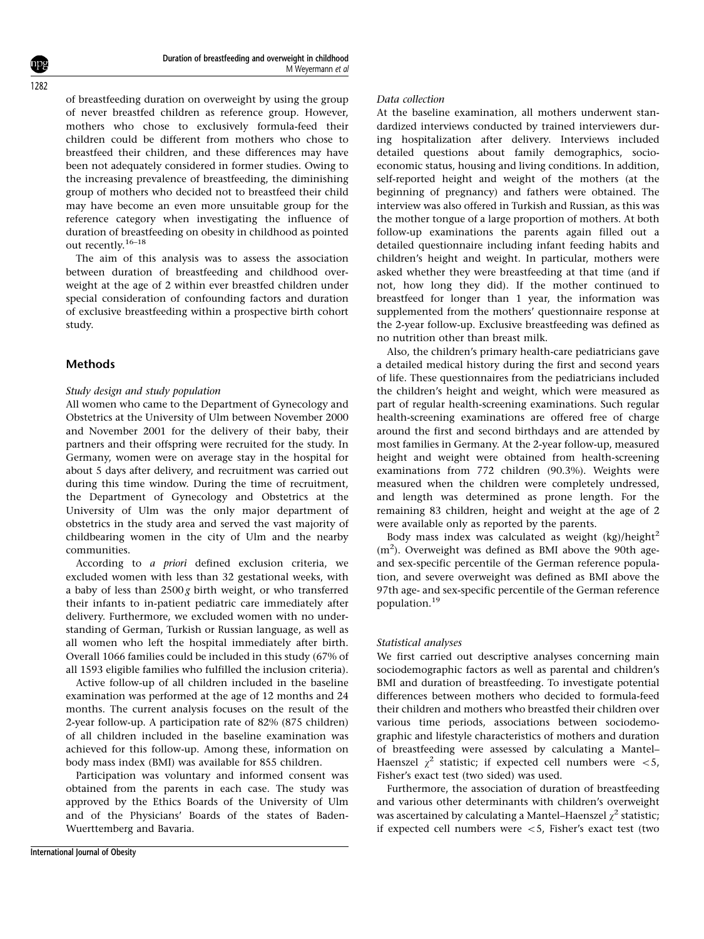of breastfeeding duration on overweight by using the group of never breastfed children as reference group. However, mothers who chose to exclusively formula-feed their children could be different from mothers who chose to breastfeed their children, and these differences may have been not adequately considered in former studies. Owing to the increasing prevalence of breastfeeding, the diminishing group of mothers who decided not to breastfeed their child may have become an even more unsuitable group for the reference category when investigating the influence of duration of breastfeeding on obesity in childhood as pointed out recently.16–18

The aim of this analysis was to assess the association between duration of breastfeeding and childhood overweight at the age of 2 within ever breastfed children under special consideration of confounding factors and duration of exclusive breastfeeding within a prospective birth cohort study.

## Methods

### Study design and study population

All women who came to the Department of Gynecology and Obstetrics at the University of Ulm between November 2000 and November 2001 for the delivery of their baby, their partners and their offspring were recruited for the study. In Germany, women were on average stay in the hospital for about 5 days after delivery, and recruitment was carried out during this time window. During the time of recruitment, the Department of Gynecology and Obstetrics at the University of Ulm was the only major department of obstetrics in the study area and served the vast majority of childbearing women in the city of Ulm and the nearby communities.

According to a priori defined exclusion criteria, we excluded women with less than 32 gestational weeks, with a baby of less than  $2500 g$  birth weight, or who transferred their infants to in-patient pediatric care immediately after delivery. Furthermore, we excluded women with no understanding of German, Turkish or Russian language, as well as all women who left the hospital immediately after birth. Overall 1066 families could be included in this study (67% of all 1593 eligible families who fulfilled the inclusion criteria).

Active follow-up of all children included in the baseline examination was performed at the age of 12 months and 24 months. The current analysis focuses on the result of the 2-year follow-up. A participation rate of 82% (875 children) of all children included in the baseline examination was achieved for this follow-up. Among these, information on body mass index (BMI) was available for 855 children.

Participation was voluntary and informed consent was obtained from the parents in each case. The study was approved by the Ethics Boards of the University of Ulm and of the Physicians' Boards of the states of Baden-Wuerttemberg and Bavaria.

#### Data collection

At the baseline examination, all mothers underwent standardized interviews conducted by trained interviewers during hospitalization after delivery. Interviews included detailed questions about family demographics, socioeconomic status, housing and living conditions. In addition, self-reported height and weight of the mothers (at the beginning of pregnancy) and fathers were obtained. The interview was also offered in Turkish and Russian, as this was the mother tongue of a large proportion of mothers. At both follow-up examinations the parents again filled out a detailed questionnaire including infant feeding habits and children's height and weight. In particular, mothers were asked whether they were breastfeeding at that time (and if not, how long they did). If the mother continued to breastfeed for longer than 1 year, the information was supplemented from the mothers' questionnaire response at the 2-year follow-up. Exclusive breastfeeding was defined as no nutrition other than breast milk.

Also, the children's primary health-care pediatricians gave a detailed medical history during the first and second years of life. These questionnaires from the pediatricians included the children's height and weight, which were measured as part of regular health-screening examinations. Such regular health-screening examinations are offered free of charge around the first and second birthdays and are attended by most families in Germany. At the 2-year follow-up, measured height and weight were obtained from health-screening examinations from 772 children (90.3%). Weights were measured when the children were completely undressed, and length was determined as prone length. For the remaining 83 children, height and weight at the age of 2 were available only as reported by the parents.

Body mass index was calculated as weight  $(kg)/height^2$  $(m<sup>2</sup>)$ . Overweight was defined as BMI above the 90th ageand sex-specific percentile of the German reference population, and severe overweight was defined as BMI above the 97th age- and sex-specific percentile of the German reference population.<sup>19</sup>

#### Statistical analyses

We first carried out descriptive analyses concerning main sociodemographic factors as well as parental and children's BMI and duration of breastfeeding. To investigate potential differences between mothers who decided to formula-feed their children and mothers who breastfed their children over various time periods, associations between sociodemographic and lifestyle characteristics of mothers and duration of breastfeeding were assessed by calculating a Mantel– Haenszel  $\gamma^2$  statistic; if expected cell numbers were <5, Fisher's exact test (two sided) was used.

Furthermore, the association of duration of breastfeeding and various other determinants with children's overweight was ascertained by calculating a Mantel–Haenszel  $\chi^2$  statistic; if expected cell numbers were  $<$  5, Fisher's exact test (two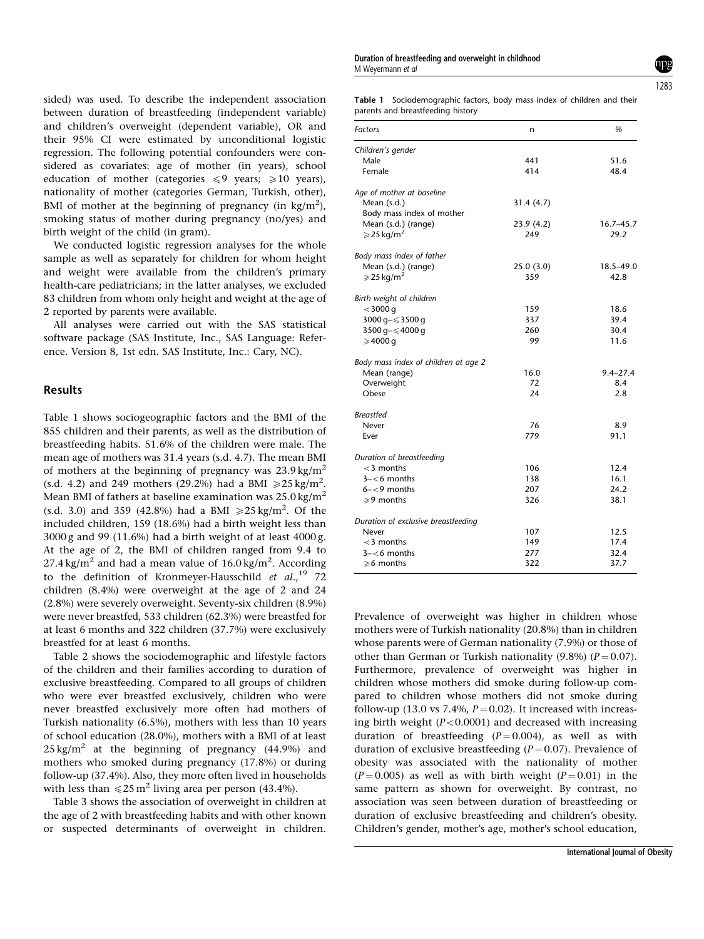sided) was used. To describe the independent association between duration of breastfeeding (independent variable) and children's overweight (dependent variable), OR and their 95% CI were estimated by unconditional logistic regression. The following potential confounders were considered as covariates: age of mother (in years), school education of mother (categories  $\leq 9$  years;  $\geq 10$  years), nationality of mother (categories German, Turkish, other), BMI of mother at the beginning of pregnancy (in  $\text{kg/m}^2$ ), smoking status of mother during pregnancy (no/yes) and birth weight of the child (in gram).

We conducted logistic regression analyses for the whole sample as well as separately for children for whom height and weight were available from the children's primary health-care pediatricians; in the latter analyses, we excluded 83 children from whom only height and weight at the age of 2 reported by parents were available.

All analyses were carried out with the SAS statistical software package (SAS Institute, Inc., SAS Language: Reference. Version 8, 1st edn. SAS Institute, Inc.: Cary, NC).

## Results

Table 1 shows sociogeographic factors and the BMI of the 855 children and their parents, as well as the distribution of breastfeeding habits. 51.6% of the children were male. The mean age of mothers was 31.4 years (s.d. 4.7). The mean BMI of mothers at the beginning of pregnancy was  $23.9 \text{ kg/m}^2$ (s.d. 4.2) and 249 mothers (29.2%) had a BMI  $\ge 25 \text{ kg/m}^2$ . Mean BMI of fathers at baseline examination was  $25.0 \text{ kg/m}^2$ (s.d. 3.0) and 359 (42.8%) had a BMI  $\ge 25 \text{ kg/m}^2$ . Of the included children, 159 (18.6%) had a birth weight less than 3000 g and 99 (11.6%) had a birth weight of at least 4000 g. At the age of 2, the BMI of children ranged from 9.4 to 27.4 kg/m<sup>2</sup> and had a mean value of  $16.0\,\mathrm{kg/m^2}$ . According to the definition of Kronmeyer-Hausschild et  $al.,<sup>19</sup>$  72 children (8.4%) were overweight at the age of 2 and 24 (2.8%) were severely overweight. Seventy-six children (8.9%) were never breastfed, 533 children (62.3%) were breastfed for at least 6 months and 322 children (37.7%) were exclusively breastfed for at least 6 months.

Table 2 shows the sociodemographic and lifestyle factors of the children and their families according to duration of exclusive breastfeeding. Compared to all groups of children who were ever breastfed exclusively, children who were never breastfed exclusively more often had mothers of Turkish nationality (6.5%), mothers with less than 10 years of school education (28.0%), mothers with a BMI of at least  $25 \text{ kg/m}^2$  at the beginning of pregnancy (44.9%) and mothers who smoked during pregnancy (17.8%) or during follow-up (37.4%). Also, they more often lived in households with less than  $\leq 25$  m<sup>2</sup> living area per person (43.4%).

Table 3 shows the association of overweight in children at the age of 2 with breastfeeding habits and with other known or suspected determinants of overweight in children.

Duration of breastfeeding and overweight in childhood M Weyermann et al

1283

Table 1 Sociodemographic factors, body mass index of children and their parents and breastfeeding history

| Factors                              | n          | %            |
|--------------------------------------|------------|--------------|
| Children's gender                    |            |              |
| Male                                 | 441        | 51.6         |
| Female                               | 414        | 48.4         |
| Age of mother at baseline            |            |              |
| Mean (s.d.)                          | 31.4(4.7)  |              |
| Body mass index of mother            |            |              |
| Mean (s.d.) (range)                  | 23.9 (4.2) | 16.7–45.7    |
| $\geqslant$ 25 kg/m <sup>2</sup>     | 249        | 29.2         |
| Body mass index of father            |            |              |
| Mean (s.d.) (range)                  | 25.0 (3.0) | 18.5-49.0    |
| $\geqslant$ 25 kg/m <sup>2</sup>     | 359        | 42.8         |
| Birth weight of children             |            |              |
| $<$ 3000 q                           | 159        | 18.6         |
| 3000 g- ≤ 3500 g                     | 337        | 39.4         |
| 3500 g- ≤4000 g                      | 260        | 30.4         |
| $\geqslant$ 4000 q                   | 99         | 11.6         |
| Body mass index of children at age 2 |            |              |
| Mean (range)                         | 16.0       | $9.4 - 27.4$ |
| Overweight                           | 72         | 8.4          |
| Obese                                | 24         | 2.8          |
| <b>Breastfed</b>                     |            |              |
| Never                                | 76         | 8.9          |
| Ever                                 | 779        | 91.1         |
| Duration of breastfeeding            |            |              |
| $<$ 3 months                         | 106        | 12.4         |
| $3 - 6$ months                       | 138        | 16.1         |
| $6 - 9$ months                       | 207        | 24.2         |
| ≥9 months                            | 326        | 38.1         |
| Duration of exclusive breastfeeding  |            |              |
| Never                                | 107        | 12.5         |
| $<$ 3 months                         | 149        | 17.4         |
| $3 - 6$ months                       | 277        | 32.4         |
| $\ge 6$ months                       | 322        | 37.7         |

Prevalence of overweight was higher in children whose mothers were of Turkish nationality (20.8%) than in children whose parents were of German nationality (7.9%) or those of other than German or Turkish nationality (9.8%) ( $P = 0.07$ ). Furthermore, prevalence of overweight was higher in children whose mothers did smoke during follow-up compared to children whose mothers did not smoke during follow-up (13.0 vs 7.4%,  $P = 0.02$ ). It increased with increasing birth weight  $(P<0.0001)$  and decreased with increasing duration of breastfeeding  $(P = 0.004)$ , as well as with duration of exclusive breastfeeding  $(P = 0.07)$ . Prevalence of obesity was associated with the nationality of mother  $(P = 0.005)$  as well as with birth weight  $(P = 0.01)$  in the same pattern as shown for overweight. By contrast, no association was seen between duration of breastfeeding or duration of exclusive breastfeeding and children's obesity. Children's gender, mother's age, mother's school education,

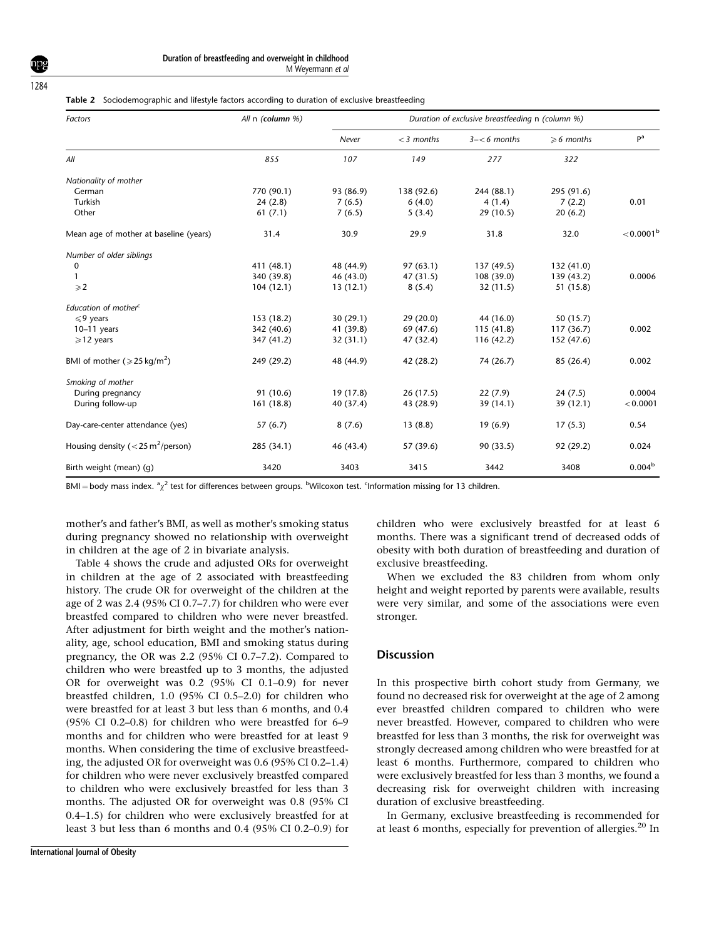1284

|  |  | Table 2 Sociodemographic and lifestyle factors according to duration of exclusive breastfeeding |  |  |  |  |
|--|--|-------------------------------------------------------------------------------------------------|--|--|--|--|
|--|--|-------------------------------------------------------------------------------------------------|--|--|--|--|

| Factors                                          | All n (column %) | Duration of exclusive breastfeeding n (column %) |              |                |                      |                         |  |
|--------------------------------------------------|------------------|--------------------------------------------------|--------------|----------------|----------------------|-------------------------|--|
|                                                  |                  | Never                                            | $<$ 3 months | $3 - 6$ months | $\geqslant$ 6 months | P <sup>a</sup>          |  |
| All                                              | 855              | 107                                              | 149          | 277            | 322                  |                         |  |
| Nationality of mother                            |                  |                                                  |              |                |                      |                         |  |
| German                                           | 770 (90.1)       | 93 (86.9)                                        | 138 (92.6)   | 244 (88.1)     | 295 (91.6)           |                         |  |
| Turkish                                          | 24(2.8)          | 7(6.5)                                           | 6(4.0)       | 4(1.4)         | 7(2.2)               | 0.01                    |  |
| Other                                            | 61(7.1)          | 7(6.5)                                           | 5(3.4)       | 29(10.5)       | 20(6.2)              |                         |  |
| Mean age of mother at baseline (years)           | 31.4             | 30.9                                             | 29.9         | 31.8           | 32.0                 | $<$ 0.0001 <sup>b</sup> |  |
| Number of older siblings                         |                  |                                                  |              |                |                      |                         |  |
| 0                                                | 411 (48.1)       | 48 (44.9)                                        | 97(63.1)     | 137 (49.5)     | 132 (41.0)           |                         |  |
| 1                                                | 340 (39.8)       | 46 (43.0)                                        | 47 (31.5)    | 108 (39.0)     | 139(43.2)            | 0.0006                  |  |
| $\geqslant$ 2                                    | 104(12.1)        | 13(12.1)                                         | 8(5.4)       | 32(11.5)       | 51 (15.8)            |                         |  |
| Education of mother <sup>c</sup>                 |                  |                                                  |              |                |                      |                         |  |
| $\leqslant$ 9 years                              | 153 (18.2)       | 30(29.1)                                         | 29(20.0)     | 44 (16.0)      | 50(15.7)             |                         |  |
| $10-11$ years                                    | 342 (40.6)       | 41 (39.8)                                        | 69 (47.6)    | 115(41.8)      | 117(36.7)            | 0.002                   |  |
| $\geqslant$ 12 years                             | 347 (41.2)       | 32(31.1)                                         | 47 (32.4)    | 116(42.2)      | 152 (47.6)           |                         |  |
| BMI of mother ( $\geq 25 \text{ kg/m}^2$ )       | 249 (29.2)       | 48 (44.9)                                        | 42 (28.2)    | 74 (26.7)      | 85 (26.4)            | 0.002                   |  |
| Smoking of mother                                |                  |                                                  |              |                |                      |                         |  |
| During pregnancy                                 | 91 (10.6)        | 19 (17.8)                                        | 26(17.5)     | 22(7.9)        | 24(7.5)              | 0.0004                  |  |
| During follow-up                                 | 161(18.8)        | 40 (37.4)                                        | 43 (28.9)    | 39(14.1)       | 39 (12.1)            | < 0.0001                |  |
| Day-care-center attendance (yes)                 | 57(6.7)          | 8(7.6)                                           | 13(8.8)      | 19(6.9)        | 17(5.3)              | 0.54                    |  |
| Housing density ( $<$ 25 m <sup>2</sup> /person) | 285 (34.1)       | 46 (43.4)                                        | 57 (39.6)    | 90(33.5)       | 92 (29.2)            | 0.024                   |  |
| Birth weight (mean) (g)                          | 3420             | 3403                                             | 3415         | 3442           | 3408                 | 0.004 <sup>b</sup>      |  |

BMI = body mass index. <sup>a</sup><sub>Z</sub><sup>2</sup> test for differences between groups. <sup>b</sup>Wilcoxon test. <sup>c</sup>Information missing for 13 children.

mother's and father's BMI, as well as mother's smoking status during pregnancy showed no relationship with overweight in children at the age of 2 in bivariate analysis.

Table 4 shows the crude and adjusted ORs for overweight in children at the age of 2 associated with breastfeeding history. The crude OR for overweight of the children at the age of 2 was 2.4 (95% CI 0.7–7.7) for children who were ever breastfed compared to children who were never breastfed. After adjustment for birth weight and the mother's nationality, age, school education, BMI and smoking status during pregnancy, the OR was 2.2 (95% CI 0.7–7.2). Compared to children who were breastfed up to 3 months, the adjusted OR for overweight was 0.2 (95% CI 0.1–0.9) for never breastfed children, 1.0 (95% CI 0.5–2.0) for children who were breastfed for at least 3 but less than 6 months, and 0.4 (95% CI 0.2–0.8) for children who were breastfed for 6–9 months and for children who were breastfed for at least 9 months. When considering the time of exclusive breastfeeding, the adjusted OR for overweight was 0.6 (95% CI 0.2–1.4) for children who were never exclusively breastfed compared to children who were exclusively breastfed for less than 3 months. The adjusted OR for overweight was 0.8 (95% CI 0.4–1.5) for children who were exclusively breastfed for at least 3 but less than 6 months and 0.4 (95% CI 0.2–0.9) for

children who were exclusively breastfed for at least 6 months. There was a significant trend of decreased odds of obesity with both duration of breastfeeding and duration of exclusive breastfeeding.

When we excluded the 83 children from whom only height and weight reported by parents were available, results were very similar, and some of the associations were even stronger.

## **Discussion**

In this prospective birth cohort study from Germany, we found no decreased risk for overweight at the age of 2 among ever breastfed children compared to children who were never breastfed. However, compared to children who were breastfed for less than 3 months, the risk for overweight was strongly decreased among children who were breastfed for at least 6 months. Furthermore, compared to children who were exclusively breastfed for less than 3 months, we found a decreasing risk for overweight children with increasing duration of exclusive breastfeeding.

In Germany, exclusive breastfeeding is recommended for at least 6 months, especially for prevention of allergies.<sup>20</sup> In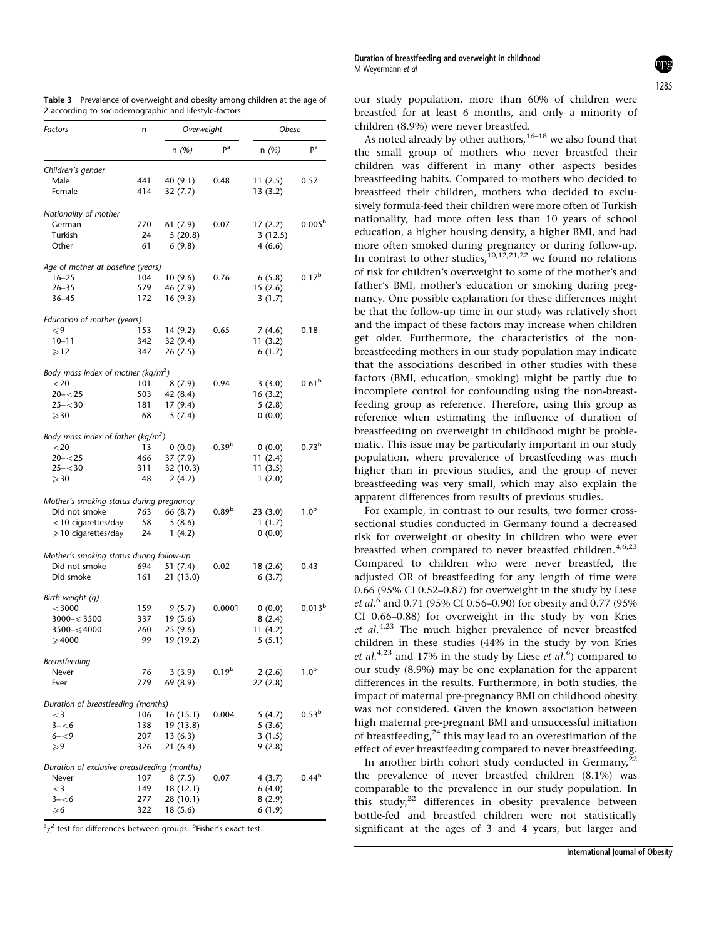| Factors                                        | n   | Overweight |                   | Obese    |                    |  |
|------------------------------------------------|-----|------------|-------------------|----------|--------------------|--|
|                                                |     | n(%)       | pa                | n (%)    | pa                 |  |
| Children's gender                              |     |            |                   |          |                    |  |
| Male                                           | 441 | 40 (9.1)   | 0.48              | 11(2.5)  | 0.57               |  |
| Female                                         | 414 | 32(7.7)    |                   | 13 (3.2) |                    |  |
| Nationality of mother                          |     |            |                   |          |                    |  |
| German                                         | 770 | 61 (7.9)   | 0.07              | 17(2.2)  | 0.005 <sup>b</sup> |  |
| Turkish                                        | 24  | 5(20.8)    |                   | 3(12.5)  |                    |  |
| Other                                          | 61  | 6(9.8)     |                   | 4(6.6)   |                    |  |
| Age of mother at baseline (years)              |     |            |                   |          |                    |  |
| $16 - 25$                                      | 104 | 10 (9.6)   | 0.76              | 6(5.8)   | $0.17^{b}$         |  |
| $26 - 35$                                      | 579 | 46 (7.9)   |                   | 15(2.6)  |                    |  |
| $36 - 45$                                      | 172 | 16 (9.3)   |                   | 3(1.7)   |                    |  |
| Education of mother (years)                    |     |            |                   |          |                    |  |
| ≤9                                             | 153 | 14 (9.2)   | 0.65              | 7(4.6)   | 0.18               |  |
| $10 - 11$                                      | 342 | 32(9.4)    |                   | 11(3.2)  |                    |  |
| $\geqslant$ 12                                 | 347 | 26 (7.5)   |                   | 6(1.7)   |                    |  |
| Body mass index of mother (kg/m <sup>2</sup> ) |     |            |                   |          |                    |  |
| $<$ 20                                         | 101 | 8(7.9)     | 0.94              | 3(3.0)   | 0.61 <sup>b</sup>  |  |
| $20 - 25$                                      | 503 | 42 (8.4)   |                   | 16(3.2)  |                    |  |
| $25 - 30$                                      | 181 | 17(9.4)    |                   | 5(2.8)   |                    |  |
| $\geqslant$ 30                                 | 68  | 5(7.4)     |                   | 0(0.0)   |                    |  |
| Body mass index of father (kg/m <sup>2</sup> ) |     |            |                   |          |                    |  |
| $<$ 20                                         | 13  | 0(0.0)     | 0.39 <sup>b</sup> | 0(0.0)   | 0.73 <sup>b</sup>  |  |
| $20 - 25$                                      | 466 | 37 (7.9)   |                   | 11(2.4)  |                    |  |
| $25 - 30$                                      | 311 | 32 (10.3)  |                   | 11(3.5)  |                    |  |
| $\geqslant$ 30                                 | 48  | 2(4.2)     |                   | 1(2.0)   |                    |  |
| Mother's smoking status during pregnancy       |     |            |                   |          |                    |  |
| Did not smoke                                  | 763 | 66 (8.7)   | 0.89 <sup>b</sup> | 23(3.0)  | 1.0 <sup>b</sup>   |  |
| $<$ 10 cigarettes/day                          | 58  | 5(8.6)     |                   | 1(1.7)   |                    |  |
| $\geqslant$ 10 cigarettes/day                  | 24  | 1(4.2)     |                   | 0(0.0)   |                    |  |
| Mother's smoking status during follow-up       |     |            |                   |          |                    |  |
| Did not smoke                                  | 694 | 51 (7.4)   | 0.02              | 18 (2.6) | 0.43               |  |
| Did smoke                                      | 161 | 21 (13.0)  |                   | 6(3.7)   |                    |  |
| Birth weight (g)                               |     |            |                   |          |                    |  |
| $<$ 3000                                       | 159 | 9 (5.7)    | 0.0001            | 0(0.0)   | $0.013^{b}$        |  |
| $3000 - \leq 3500$                             | 337 | 19(5.6)    |                   | 8(2.4)   |                    |  |
| $3500 - \leqslant 4000$                        | 260 | 25(9.6)    |                   | 11 (4.2) |                    |  |
| $\geqslant$ 4000                               | 99  | 19 (19.2)  |                   | 5(5.1)   |                    |  |
| Breastfeeding                                  |     |            |                   |          |                    |  |
| Never                                          | 76  | 3(3.9)     | 0.19 <sup>b</sup> | 2(2.6)   | 1.0 <sup>b</sup>   |  |
| Ever                                           | 779 | 69 (8.9)   |                   | 22(2.8)  |                    |  |
| Duration of breastfeeding (months)             |     |            |                   |          |                    |  |
| $<$ 3                                          | 106 | 16 (15.1)  | 0.004             | 5 (4.7)  | 0.53 <sup>b</sup>  |  |
| $3 - 6$                                        | 138 | 19 (13.8)  |                   | 5(3.6)   |                    |  |
| $6 - 9$                                        | 207 | 13(6.3)    |                   | 3(1.5)   |                    |  |
| $\geqslant$ 9                                  | 326 | 21 (6.4)   |                   | 9(2.8)   |                    |  |
| Duration of exclusive breastfeeding (months)   |     |            |                   |          |                    |  |
| Never                                          | 107 | 8(7.5)     | 0.07              | 4 (3.7)  | $0.44^{b}$         |  |

Table 3 Prevalence of overweight and obesity among children at the age of 2 according to sociodemographic and lifestyle-factors

 $\alpha_{\chi}^2$  test for differences between groups. <sup>b</sup>Fisher's exact test.

 $\ge 6$  322 18 (5.6)

 $-3$  149 18 (12.1) 6 (4.0)<br>3- $-6$  277 28 (10.1) 8 (2.9)  $3--6$  277 28 (10.1) 8 (2.9)<br>  $\ge 6$  322 18 (5.6) 6 (1.9) Duration of breastfeeding and overweight in childhood M Weyermann et al

our study population, more than 60% of children were breastfed for at least 6 months, and only a minority of children (8.9%) were never breastfed.

As noted already by other authors,  $16-18$  we also found that the small group of mothers who never breastfed their children was different in many other aspects besides breastfeeding habits. Compared to mothers who decided to breastfeed their children, mothers who decided to exclusively formula-feed their children were more often of Turkish nationality, had more often less than 10 years of school education, a higher housing density, a higher BMI, and had more often smoked during pregnancy or during follow-up. In contrast to other studies,  $^{10,12,21,22}$  we found no relations of risk for children's overweight to some of the mother's and father's BMI, mother's education or smoking during pregnancy. One possible explanation for these differences might be that the follow-up time in our study was relatively short and the impact of these factors may increase when children get older. Furthermore, the characteristics of the nonbreastfeeding mothers in our study population may indicate that the associations described in other studies with these factors (BMI, education, smoking) might be partly due to incomplete control for confounding using the non-breastfeeding group as reference. Therefore, using this group as reference when estimating the influence of duration of breastfeeding on overweight in childhood might be problematic. This issue may be particularly important in our study population, where prevalence of breastfeeding was much higher than in previous studies, and the group of never breastfeeding was very small, which may also explain the apparent differences from results of previous studies.

For example, in contrast to our results, two former crosssectional studies conducted in Germany found a decreased risk for overweight or obesity in children who were ever breastfed when compared to never breastfed children.<sup>4,6,23</sup> Compared to children who were never breastfed, the adjusted OR of breastfeeding for any length of time were 0.66 (95% CI 0.52–0.87) for overweight in the study by Liese et al.<sup>6</sup> and 0.71 (95% CI 0.56–0.90) for obesity and 0.77 (95% CI 0.66–0.88) for overweight in the study by von Kries et  $al^{4,23}$  The much higher prevalence of never breastfed children in these studies (44% in the study by von Kries *et al.*<sup>4,23</sup> and 17% in the study by Liese *et al.*<sup>6</sup>) compared to our study (8.9%) may be one explanation for the apparent differences in the results. Furthermore, in both studies, the impact of maternal pre-pregnancy BMI on childhood obesity was not considered. Given the known association between high maternal pre-pregnant BMI and unsuccessful initiation of breastfeeding, $24$  this may lead to an overestimation of the effect of ever breastfeeding compared to never breastfeeding.

In another birth cohort study conducted in Germany,<sup>2</sup> the prevalence of never breastfed children (8.1%) was comparable to the prevalence in our study population. In this study, $22$  differences in obesity prevalence between bottle-fed and breastfed children were not statistically significant at the ages of 3 and 4 years, but larger and

#### 1285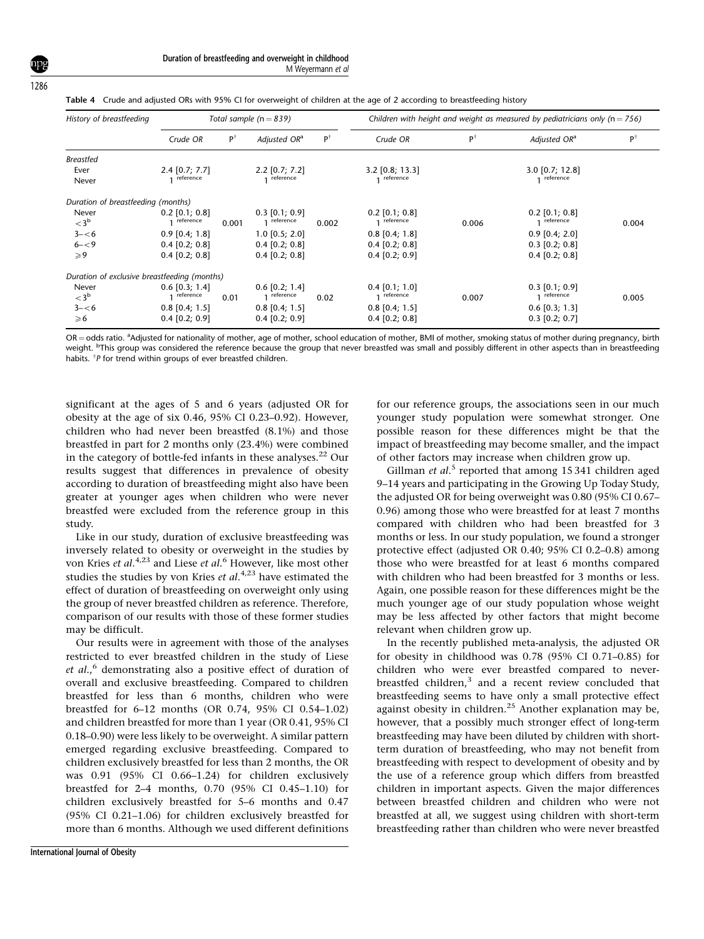1286

|  |  | Table 4 Crude and adjusted ORs with 95% CI for overweight of children at the age of 2 according to breastfeeding history |  |
|--|--|--------------------------------------------------------------------------------------------------------------------------|--|
|  |  |                                                                                                                          |  |

| History of breastfeeding                     | Total sample ( $n = 839$ )    |               |                               |               | Children with height and weight as measured by pediatricians only ( $n = 756$ ) |       |                                |       |  |
|----------------------------------------------|-------------------------------|---------------|-------------------------------|---------------|---------------------------------------------------------------------------------|-------|--------------------------------|-------|--|
|                                              | Crude OR                      | $P^{\dagger}$ | Adjusted OR <sup>a</sup>      | $P^{\dagger}$ | Crude OR                                                                        | ΡŤ    | Adjusted OR <sup>a</sup>       | PŤ    |  |
| <b>Breastfed</b>                             |                               |               |                               |               |                                                                                 |       |                                |       |  |
| Ever<br>Never                                | $2.4$ [0.7; 7.7]<br>reference |               | $2.2$ [0.7; 7.2]<br>reference |               | $3.2$ [0.8; 13.3]<br>reference                                                  |       | $3.0$ [0.7; 12.8]<br>reference |       |  |
| Duration of breastfeeding (months)           |                               |               |                               |               |                                                                                 |       |                                |       |  |
| Never                                        | $0.2$ [0.1; 0.8]              |               | $0.3$ [0.1; 0.9]              |               | $0.2$ [0.1; 0.8]                                                                |       | $0.2$ [0.1; 0.8]               |       |  |
| $<$ 3 <sup>b</sup>                           | reference                     | 0.001         | reference                     | 0.002         | reference                                                                       | 0.006 | reference                      | 0.004 |  |
| $3 - 6$                                      | $0.9$ [0.4; 1.8]              |               | $1.0$ [0.5; 2.0]              |               | $0.8$ [0.4; 1.8]                                                                |       | $0.9$ [0.4; 2.0]               |       |  |
| $6 - 59$                                     | $0.4$ [0.2; 0.8]              |               | $0.4$ [0.2; 0.8]              |               | $0.4$ [0.2; 0.8]                                                                |       | $0.3$ [0.2; 0.8]               |       |  |
| $\geqslant$ 9                                | $0.4$ [0.2; 0.8]              |               | $0.4$ [0.2; 0.8]              |               | $0.4$ [0.2; 0.9]                                                                |       | $0.4$ [0.2; 0.8]               |       |  |
| Duration of exclusive breastfeeding (months) |                               |               |                               |               |                                                                                 |       |                                |       |  |
| Never                                        | $0.6$ [0.3; 1.4]              |               | $0.6$ [0.2; 1.4]              |               | $0.4$ [0.1; 1.0]                                                                |       | $0.3$ [0.1; 0.9]               |       |  |
| $<$ 3 <sup>b</sup>                           | reference                     | 0.01          | reference                     | 0.02          | reference                                                                       | 0.007 | reference                      | 0.005 |  |
| $3 - 6$                                      | $0.8$ [0.4; 1.5]              |               | $0.8$ [0.4; 1.5]              |               | $0.8$ [0.4; 1.5]                                                                |       | $0.6$ [0.3; 1.3]               |       |  |
| $\geqslant 6$                                | $0.4$ [0.2; 0.9]              |               | $0.4$ [0.2; 0.9]              |               | $0.4$ [0.2; 0.8]                                                                |       | $0.3$ [0.2; 0.7]               |       |  |

OR = odds ratio. <sup>a</sup>Adjusted for nationality of mother, age of mother, school education of mother, BMI of mother, smoking status of mother during pregnancy, birth weight. <sup>b</sup>This group was considered the reference because the group that never breastfed was small and possibly different in other aspects than in breastfeeding habits. TP for trend within groups of ever breastfed children.

significant at the ages of 5 and 6 years (adjusted OR for obesity at the age of six 0.46, 95% CI 0.23–0.92). However, children who had never been breastfed (8.1%) and those breastfed in part for 2 months only (23.4%) were combined in the category of bottle-fed infants in these analyses. $^{22}$  Our results suggest that differences in prevalence of obesity according to duration of breastfeeding might also have been greater at younger ages when children who were never breastfed were excluded from the reference group in this study.

Like in our study, duration of exclusive breastfeeding was inversely related to obesity or overweight in the studies by von Kries *et al*.<sup>4,23</sup> and Liese *et al*.<sup>6</sup> However, like most other studies the studies by von Kries et  $al.^{4,23}$  have estimated the effect of duration of breastfeeding on overweight only using the group of never breastfed children as reference. Therefore, comparison of our results with those of these former studies may be difficult.

Our results were in agreement with those of the analyses restricted to ever breastfed children in the study of Liese et  $al$ ,  $\delta$  demonstrating also a positive effect of duration of overall and exclusive breastfeeding. Compared to children breastfed for less than 6 months, children who were breastfed for 6–12 months (OR 0.74, 95% CI 0.54–1.02) and children breastfed for more than 1 year (OR 0.41, 95% CI 0.18–0.90) were less likely to be overweight. A similar pattern emerged regarding exclusive breastfeeding. Compared to children exclusively breastfed for less than 2 months, the OR was 0.91 (95% CI 0.66–1.24) for children exclusively breastfed for 2–4 months, 0.70 (95% CI 0.45–1.10) for children exclusively breastfed for 5–6 months and 0.47 (95% CI 0.21–1.06) for children exclusively breastfed for more than 6 months. Although we used different definitions for our reference groups, the associations seen in our much younger study population were somewhat stronger. One possible reason for these differences might be that the impact of breastfeeding may become smaller, and the impact of other factors may increase when children grow up.

Gillman et al.<sup>5</sup> reported that among 15 341 children aged 9–14 years and participating in the Growing Up Today Study, the adjusted OR for being overweight was 0.80 (95% CI 0.67– 0.96) among those who were breastfed for at least 7 months compared with children who had been breastfed for 3 months or less. In our study population, we found a stronger protective effect (adjusted OR 0.40; 95% CI 0.2–0.8) among those who were breastfed for at least 6 months compared with children who had been breastfed for 3 months or less. Again, one possible reason for these differences might be the much younger age of our study population whose weight may be less affected by other factors that might become relevant when children grow up.

In the recently published meta-analysis, the adjusted OR for obesity in childhood was 0.78 (95% CI 0.71–0.85) for children who were ever breastfed compared to neverbreastfed children,<sup>3</sup> and a recent review concluded that breastfeeding seems to have only a small protective effect against obesity in children.<sup>25</sup> Another explanation may be, however, that a possibly much stronger effect of long-term breastfeeding may have been diluted by children with shortterm duration of breastfeeding, who may not benefit from breastfeeding with respect to development of obesity and by the use of a reference group which differs from breastfed children in important aspects. Given the major differences between breastfed children and children who were not breastfed at all, we suggest using children with short-term breastfeeding rather than children who were never breastfed